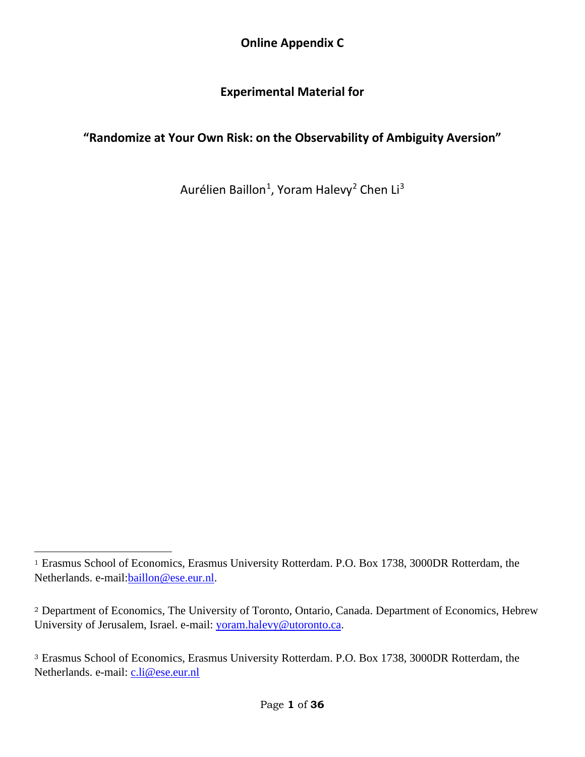**Online Appendix C**

## **Experimental Material for**

## **"Randomize at Your Own Risk: on the Observability of Ambiguity Aversion"**

Aurélien Baillon<sup>[1](#page-0-0)</sup>, Yoram Halevy<sup>[2](#page-0-1)</sup> Chen Li<sup>[3](#page-0-2)</sup>

<span id="page-0-0"></span><sup>1</sup> Erasmus School of Economics, Erasmus University Rotterdam. P.O. Box 1738, 3000DR Rotterdam, the Netherlands. e-mail:baillon@ese.eur.nl.

<span id="page-0-1"></span><sup>2</sup> Department of Economics, The University of Toronto, Ontario, Canada. Department of Economics, Hebrew University of Jerusalem, Israel. e-mail: yoram.halevy@utoronto.ca.

<span id="page-0-2"></span><sup>3</sup> Erasmus School of Economics, Erasmus University Rotterdam. P.O. Box 1738, 3000DR Rotterdam, the Netherlands. e-mail: c.li@ese.eur.nl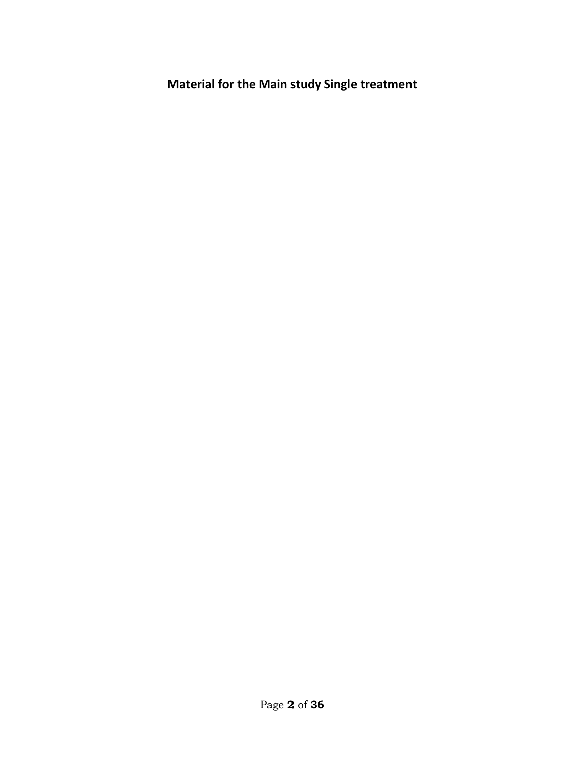**Material for the Main study Single treatment**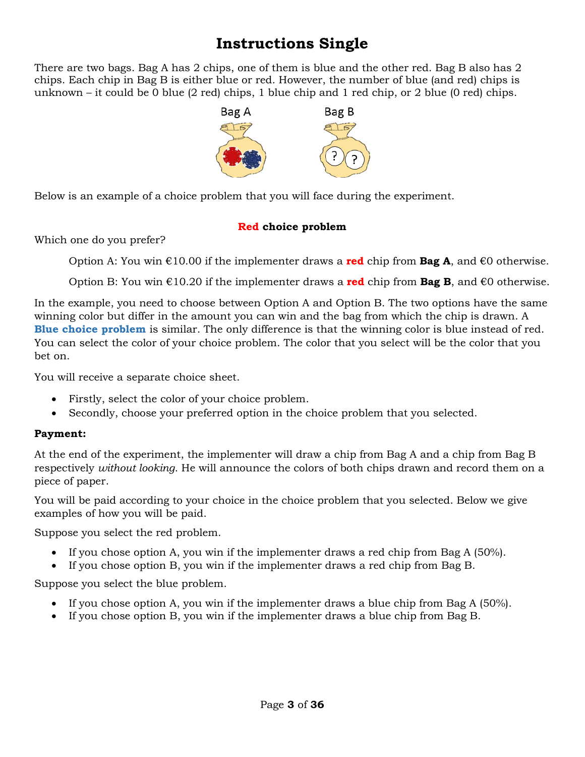# **Instructions Single**

There are two bags. Bag A has 2 chips, one of them is blue and the other red. Bag B also has 2 chips. Each chip in Bag B is either blue or red. However, the number of blue (and red) chips is unknown – it could be 0 blue (2 red) chips, 1 blue chip and 1 red chip, or 2 blue (0 red) chips.



Below is an example of a choice problem that you will face during the experiment.

## **Red choice problem**

Which one do you prefer?

Option A: You win €10.00 if the implementer draws a **red** chip from **Bag A**, and €0 otherwise.

Option B: You win €10.20 if the implementer draws a **red** chip from **Bag B**, and €0 otherwise.

In the example, you need to choose between Option A and Option B. The two options have the same winning color but differ in the amount you can win and the bag from which the chip is drawn. A **Blue choice problem** is similar. The only difference is that the winning color is blue instead of red. You can select the color of your choice problem. The color that you select will be the color that you bet on.

You will receive a separate choice sheet.

- Firstly, select the color of your choice problem.
- Secondly, choose your preferred option in the choice problem that you selected.

## **Payment:**

At the end of the experiment, the implementer will draw a chip from Bag A and a chip from Bag B respectively *without looking*. He will announce the colors of both chips drawn and record them on a piece of paper.

You will be paid according to your choice in the choice problem that you selected. Below we give examples of how you will be paid.

Suppose you select the red problem.

- If you chose option A, you win if the implementer draws a red chip from Bag A (50%).
- If you chose option B, you win if the implementer draws a red chip from Bag B.

Suppose you select the blue problem.

- If you chose option A, you win if the implementer draws a blue chip from Bag A (50%).
- If you chose option B, you win if the implementer draws a blue chip from Bag B.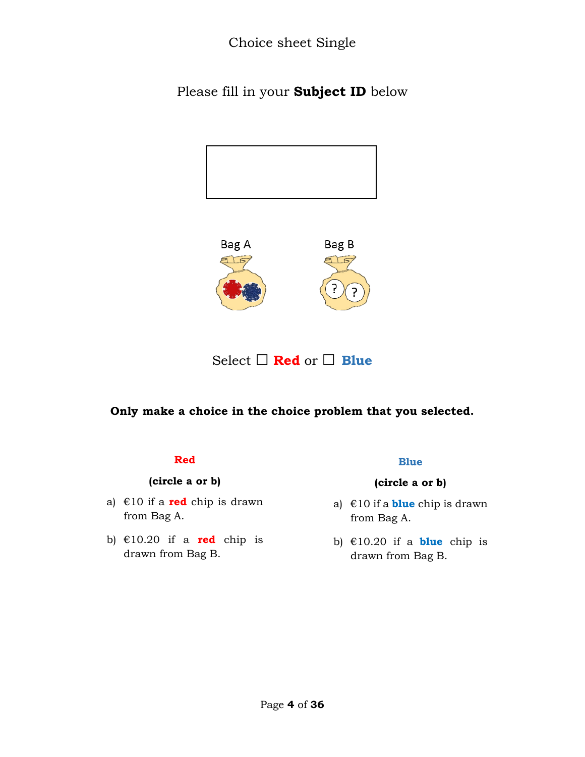Choice sheet Single

Please fill in your **Subject ID** below





Select □ **Red** or □ **Blue**

**Only make a choice in the choice problem that you selected.**

#### **Red**

#### **(circle a or b)**

- a) €10 if a **red** chip is drawn from Bag A.
- b)  $\text{\textsterling}10.20$  if a **red** chip is drawn from Bag B.

#### **Blue**

- a) €10 if a **blue** chip is drawn from Bag A.
- b) €10.20 if a **blue** chip is drawn from Bag B.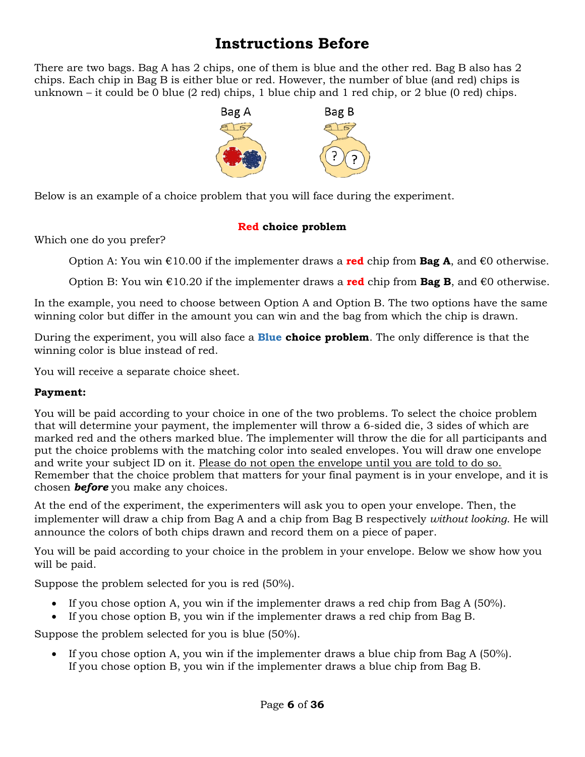# **Instructions Before**

There are two bags. Bag A has 2 chips, one of them is blue and the other red. Bag B also has 2 chips. Each chip in Bag B is either blue or red. However, the number of blue (and red) chips is unknown – it could be 0 blue (2 red) chips, 1 blue chip and 1 red chip, or 2 blue (0 red) chips.



Below is an example of a choice problem that you will face during the experiment.

## **Red choice problem**

Which one do you prefer?

Option A: You win €10.00 if the implementer draws a **red** chip from **Bag A**, and €0 otherwise.

Option B: You win  $\epsilon$ 10.20 if the implementer draws a **red** chip from **Bag B**, and  $\epsilon$ 0 otherwise.

In the example, you need to choose between Option A and Option B. The two options have the same winning color but differ in the amount you can win and the bag from which the chip is drawn.

During the experiment, you will also face a **Blue choice problem**. The only difference is that the winning color is blue instead of red.

You will receive a separate choice sheet.

## **Payment:**

You will be paid according to your choice in one of the two problems. To select the choice problem that will determine your payment, the implementer will throw a 6-sided die, 3 sides of which are marked red and the others marked blue. The implementer will throw the die for all participants and put the choice problems with the matching color into sealed envelopes. You will draw one envelope and write your subject ID on it. Please do not open the envelope until you are told to do so. Remember that the choice problem that matters for your final payment is in your envelope, and it is chosen *before* you make any choices.

At the end of the experiment, the experimenters will ask you to open your envelope. Then, the implementer will draw a chip from Bag A and a chip from Bag B respectively *without looking*. He will announce the colors of both chips drawn and record them on a piece of paper.

You will be paid according to your choice in the problem in your envelope. Below we show how you will be paid.

Suppose the problem selected for you is red (50%).

- If you chose option A, you win if the implementer draws a red chip from Bag A (50%).
- If you chose option B, you win if the implementer draws a red chip from Bag B.

Suppose the problem selected for you is blue (50%).

• If you chose option A, you win if the implementer draws a blue chip from Bag A (50%). If you chose option B, you win if the implementer draws a blue chip from Bag B.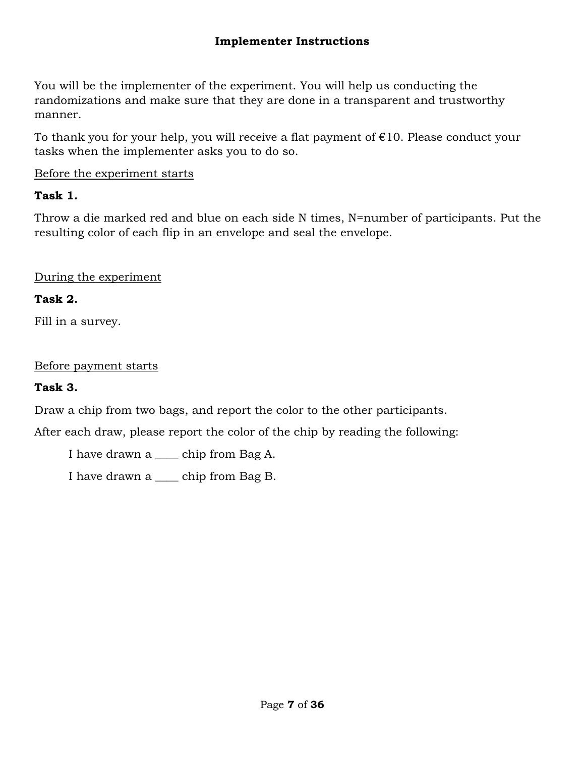## **Implementer Instructions**

You will be the implementer of the experiment. You will help us conducting the randomizations and make sure that they are done in a transparent and trustworthy manner.

To thank you for your help, you will receive a flat payment of  $E10$ . Please conduct your tasks when the implementer asks you to do so.

## Before the experiment starts

## **Task 1.**

Throw a die marked red and blue on each side N times, N=number of participants. Put the resulting color of each flip in an envelope and seal the envelope.

## During the experiment

## **Task 2.**

Fill in a survey.

## Before payment starts

## **Task 3.**

Draw a chip from two bags, and report the color to the other participants.

After each draw, please report the color of the chip by reading the following:

I have drawn a \_\_\_\_ chip from Bag A.

I have drawn a \_\_\_\_ chip from Bag B.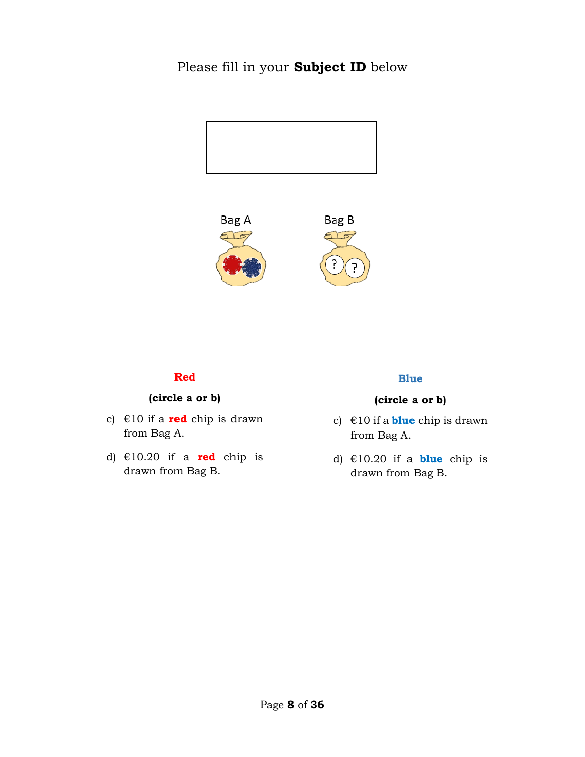## Please fill in your **Subject ID** below





#### **Red**

## **(circle a or b)**

- c) €10 if a **red** chip is drawn from Bag A.
- d) €10.20 if a **red** chip is drawn from Bag B.

#### **Blue**

- c) €10 if a **blue** chip is drawn from Bag A.
- d) €10.20 if a **blue** chip is drawn from Bag B.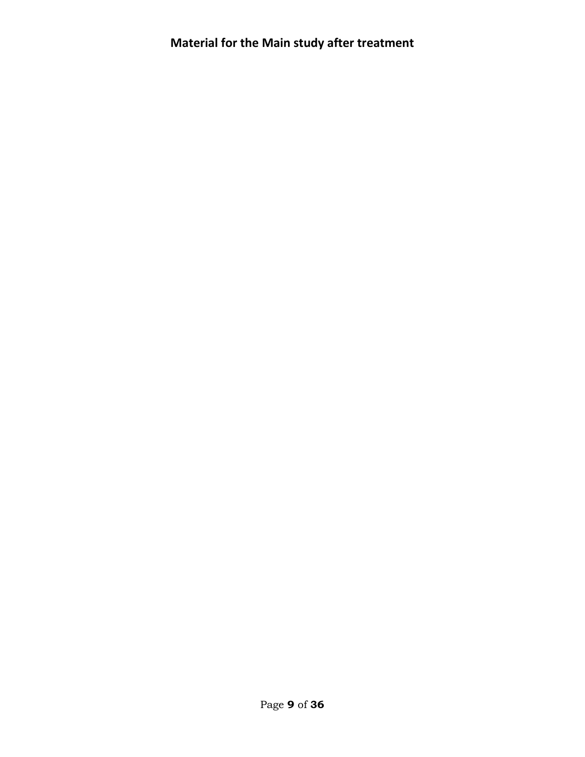# **Material for the Main study after treatment**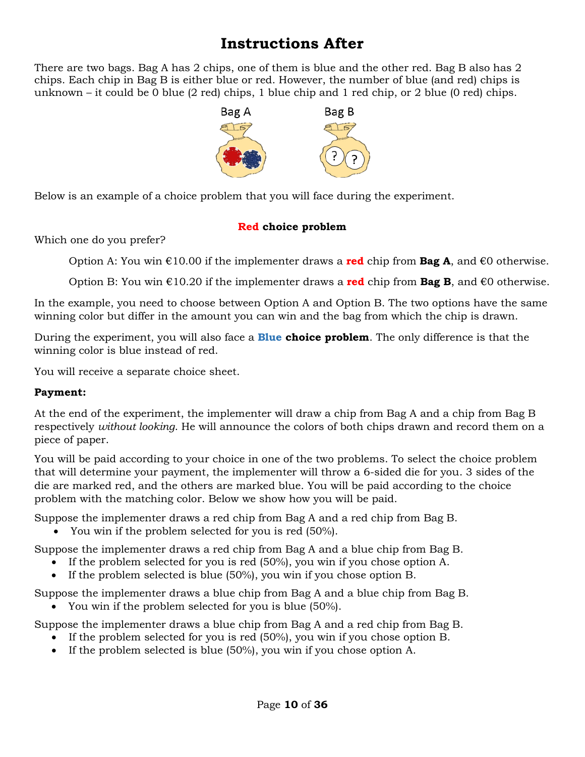# **Instructions After**

There are two bags. Bag A has 2 chips, one of them is blue and the other red. Bag B also has 2 chips. Each chip in Bag B is either blue or red. However, the number of blue (and red) chips is unknown – it could be 0 blue (2 red) chips, 1 blue chip and 1 red chip, or 2 blue (0 red) chips.



Below is an example of a choice problem that you will face during the experiment.

## **Red choice problem**

Which one do you prefer?

Option A: You win €10.00 if the implementer draws a **red** chip from **Bag A**, and €0 otherwise.

Option B: You win €10.20 if the implementer draws a **red** chip from **Bag B**, and €0 otherwise.

In the example, you need to choose between Option A and Option B. The two options have the same winning color but differ in the amount you can win and the bag from which the chip is drawn.

During the experiment, you will also face a **Blue choice problem**. The only difference is that the winning color is blue instead of red.

You will receive a separate choice sheet.

## **Payment:**

At the end of the experiment, the implementer will draw a chip from Bag A and a chip from Bag B respectively *without looking*. He will announce the colors of both chips drawn and record them on a piece of paper.

You will be paid according to your choice in one of the two problems. To select the choice problem that will determine your payment, the implementer will throw a 6-sided die for you. 3 sides of the die are marked red, and the others are marked blue. You will be paid according to the choice problem with the matching color. Below we show how you will be paid.

Suppose the implementer draws a red chip from Bag A and a red chip from Bag B.

• You win if the problem selected for you is red (50%).

Suppose the implementer draws a red chip from Bag A and a blue chip from Bag B.

- If the problem selected for you is red (50%), you win if you chose option A.
- If the problem selected is blue (50%), you win if you chose option B.

Suppose the implementer draws a blue chip from Bag A and a blue chip from Bag B.

• You win if the problem selected for you is blue (50%).

Suppose the implementer draws a blue chip from Bag A and a red chip from Bag B.

- If the problem selected for you is red (50%), you win if you chose option B.
- If the problem selected is blue (50%), you win if you chose option A.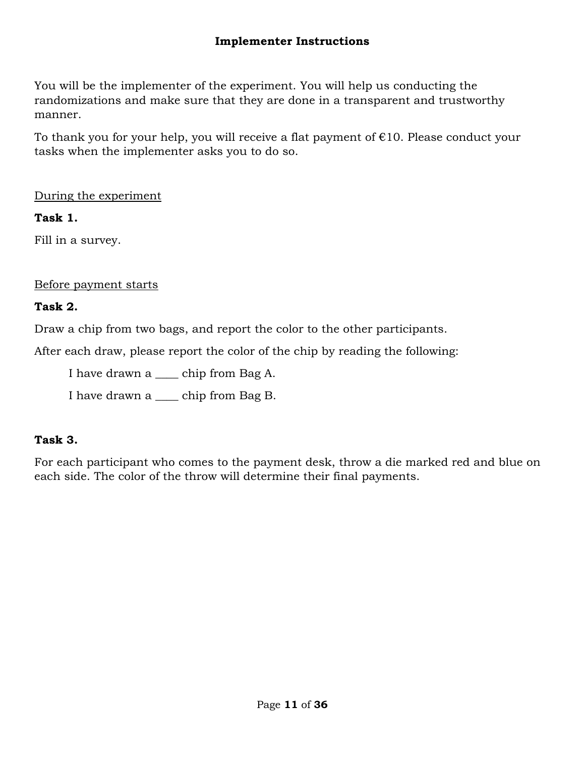## **Implementer Instructions**

You will be the implementer of the experiment. You will help us conducting the randomizations and make sure that they are done in a transparent and trustworthy manner.

To thank you for your help, you will receive a flat payment of  $E10$ . Please conduct your tasks when the implementer asks you to do so.

During the experiment

## **Task 1.**

Fill in a survey.

## Before payment starts

## **Task 2.**

Draw a chip from two bags, and report the color to the other participants.

After each draw, please report the color of the chip by reading the following:

I have drawn a \_\_\_\_ chip from Bag A.

I have drawn a \_\_\_\_ chip from Bag B.

## **Task 3.**

For each participant who comes to the payment desk, throw a die marked red and blue on each side. The color of the throw will determine their final payments.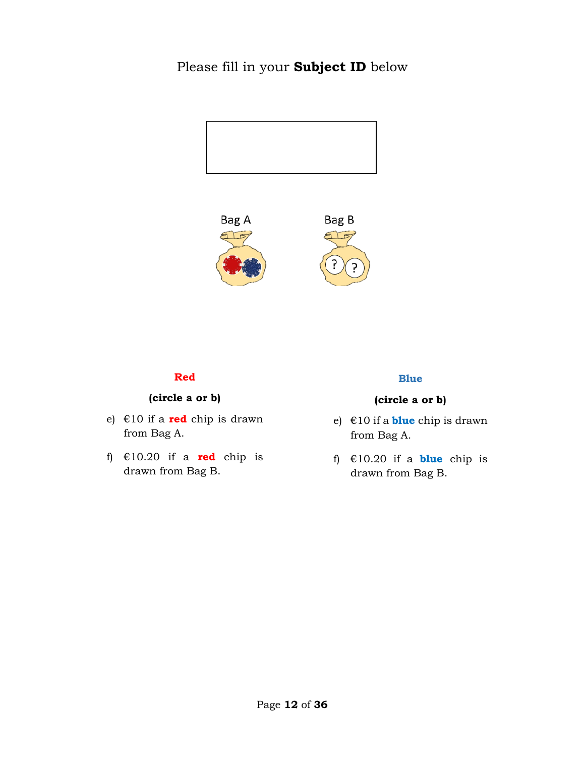## Please fill in your **Subject ID** below





#### **Red**

## **(circle a or b)**

- e) €10 if a **red** chip is drawn from Bag A.
- f) €10.20 if a **red** chip is drawn from Bag B.

#### **Blue**

- e) €10 if a **blue** chip is drawn from Bag A.
- f) €10.20 if a **blue** chip is drawn from Bag B.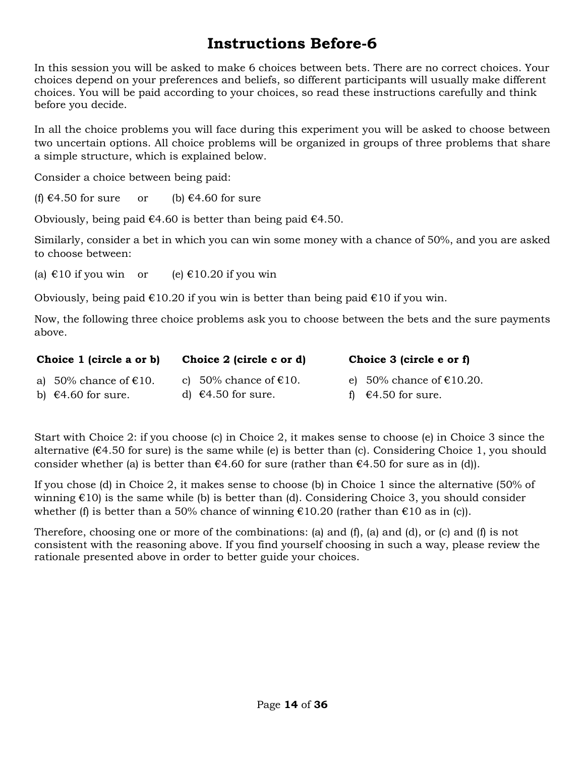# **Instructions Before-6**

In this session you will be asked to make 6 choices between bets. There are no correct choices. Your choices depend on your preferences and beliefs, so different participants will usually make different choices. You will be paid according to your choices, so read these instructions carefully and think before you decide.

In all the choice problems you will face during this experiment you will be asked to choose between two uncertain options. All choice problems will be organized in groups of three problems that share a simple structure, which is explained below.

Consider a choice between being paid:

(f)  $\epsilon$ 4.50 for sure or (b)  $\epsilon$ 4.60 for sure

Obviously, being paid  $\epsilon$ 4.60 is better than being paid  $\epsilon$ 4.50.

Similarly, consider a bet in which you can win some money with a chance of 50%, and you are asked to choose between:

(a)  $\text{\textsterling}10$  if you win or (e)  $\text{\textsterling}10.20$  if you win

Obviously, being paid  $\epsilon$ 10.20 if you win is better than being paid  $\epsilon$ 10 if you win.

Now, the following three choice problems ask you to choose between the bets and the sure payments above.

| Choice 1 (circle a or b)        | Choice 2 (circle c or d)        | Choice 3 (circle e or f)                                 |
|---------------------------------|---------------------------------|----------------------------------------------------------|
| a) 50% chance of $\epsilon$ 10. | c) 50% chance of $\epsilon$ 10. | e) 50% chance of $\text{\large\ensuremath{\in}} 10.20$ . |
| b) $\epsilon$ 4.60 for sure.    | d) $\epsilon$ 4.50 for sure.    | f) $\epsilon$ 4.50 for sure.                             |

Start with Choice 2: if you choose (c) in Choice 2, it makes sense to choose (e) in Choice 3 since the alternative ( $\epsilon$ 4.50 for sure) is the same while (e) is better than (c). Considering Choice 1, you should consider whether (a) is better than  $\epsilon$ 4.60 for sure (rather than  $\epsilon$ 4.50 for sure as in (d)).

If you chose (d) in Choice 2, it makes sense to choose (b) in Choice 1 since the alternative (50% of winning  $\epsilon$ 10) is the same while (b) is better than (d). Considering Choice 3, you should consider whether (f) is better than a 50% chance of winning  $\epsilon$ 10.20 (rather than  $\epsilon$ 10 as in (c)).

Therefore, choosing one or more of the combinations: (a) and (f), (a) and (d), or (c) and (f) is not consistent with the reasoning above. If you find yourself choosing in such a way, please review the rationale presented above in order to better guide your choices.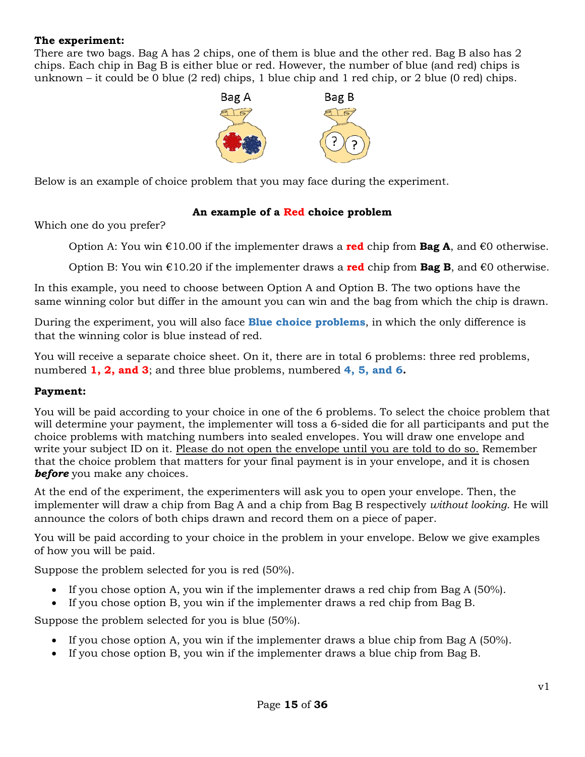#### **The experiment:**

There are two bags. Bag A has 2 chips, one of them is blue and the other red. Bag B also has 2 chips. Each chip in Bag B is either blue or red. However, the number of blue (and red) chips is unknown – it could be 0 blue (2 red) chips, 1 blue chip and 1 red chip, or 2 blue (0 red) chips.



Below is an example of choice problem that you may face during the experiment.

#### **An example of a Red choice problem**

Which one do you prefer?

Option A: You win €10.00 if the implementer draws a **red** chip from **Bag A**, and €0 otherwise.

Option B: You win  $\epsilon$ 10.20 if the implementer draws a **red** chip from **Bag B**, and  $\epsilon$ 0 otherwise.

In this example, you need to choose between Option A and Option B. The two options have the same winning color but differ in the amount you can win and the bag from which the chip is drawn.

During the experiment, you will also face **Blue choice problems**, in which the only difference is that the winning color is blue instead of red.

You will receive a separate choice sheet. On it, there are in total 6 problems: three red problems, numbered **1, 2, and 3**; and three blue problems, numbered **4, 5, and 6.**

#### **Payment:**

You will be paid according to your choice in one of the 6 problems. To select the choice problem that will determine your payment, the implementer will toss a 6-sided die for all participants and put the choice problems with matching numbers into sealed envelopes. You will draw one envelope and write your subject ID on it. Please do not open the envelope until you are told to do so. Remember that the choice problem that matters for your final payment is in your envelope, and it is chosen *before* you make any choices.

At the end of the experiment, the experimenters will ask you to open your envelope. Then, the implementer will draw a chip from Bag A and a chip from Bag B respectively *without looking*. He will announce the colors of both chips drawn and record them on a piece of paper.

You will be paid according to your choice in the problem in your envelope. Below we give examples of how you will be paid.

Suppose the problem selected for you is red (50%).

- If you chose option A, you win if the implementer draws a red chip from Bag A (50%).
- If you chose option B, you win if the implementer draws a red chip from Bag B.

Suppose the problem selected for you is blue (50%).

- If you chose option A, you win if the implementer draws a blue chip from Bag A (50%).
- If you chose option B, you win if the implementer draws a blue chip from Bag B.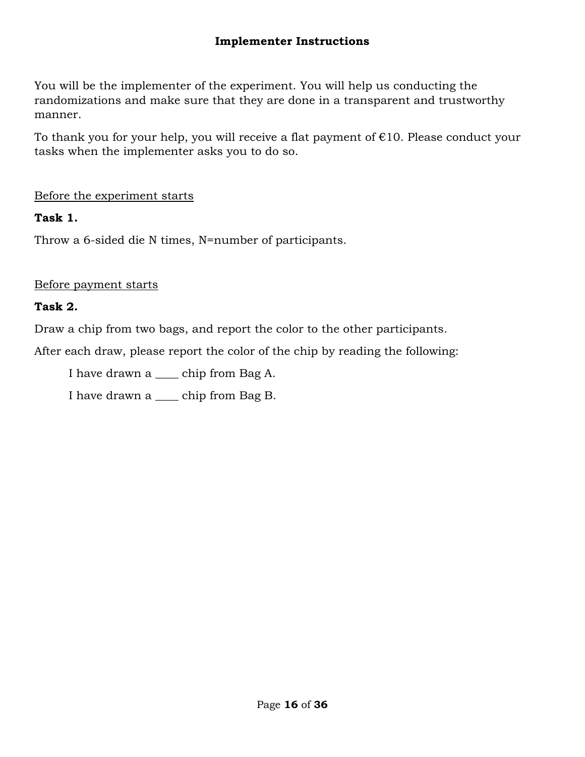## **Implementer Instructions**

You will be the implementer of the experiment. You will help us conducting the randomizations and make sure that they are done in a transparent and trustworthy manner.

To thank you for your help, you will receive a flat payment of  $E10$ . Please conduct your tasks when the implementer asks you to do so.

## Before the experiment starts

## **Task 1.**

Throw a 6-sided die N times, N=number of participants.

## Before payment starts

## **Task 2.**

Draw a chip from two bags, and report the color to the other participants.

After each draw, please report the color of the chip by reading the following:

I have drawn a \_\_\_\_ chip from Bag A.

I have drawn a \_\_\_\_ chip from Bag B.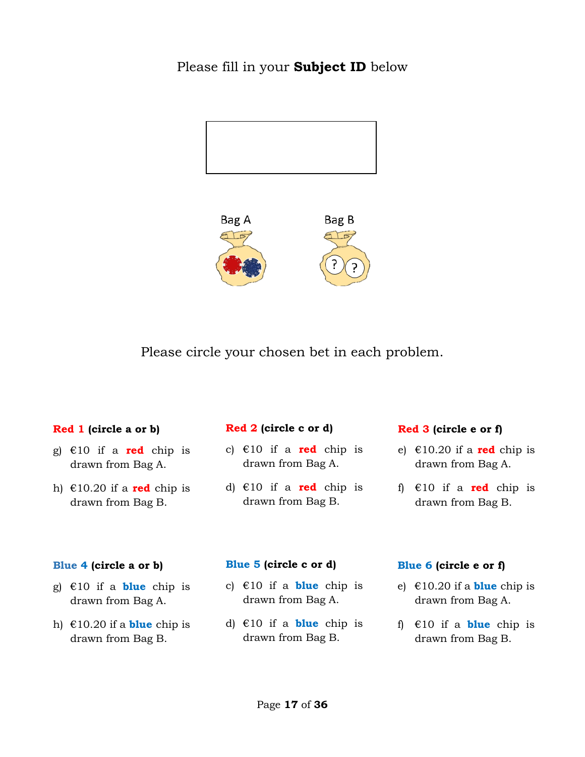## Please fill in your **Subject ID** below





Please circle your chosen bet in each problem.

#### **Red 1 (circle a or b)**

- g) €10 if a **red** chip is drawn from Bag A.
- h)  $\text{\textsterling}10.20$  if a **red** chip is drawn from Bag B.

#### **Red 2 (circle c or d)**

- c)  $\in$ 10 if a **red** chip is drawn from Bag A.
- d) €10 if a **red** chip is drawn from Bag B.

#### **Red 3 (circle e or f)**

- e)  $\in$ 10.20 if a **red** chip is drawn from Bag A.
- f) €10 if a **red** chip is drawn from Bag B.

#### **Blue 4 (circle a or b)**

- g) €10 if a **blue** chip is drawn from Bag A.
- h)  $\text{\textsterling}10.20$  if a **blue** chip is drawn from Bag B.

#### **Blue 5 (circle c or d)**

- c)  $\in$ 10 if a **blue** chip is drawn from Bag A.
- d) €10 if a **blue** chip is drawn from Bag B.

#### **Blue 6 (circle e or f)**

- e)  $\epsilon$ 10.20 if a **blue** chip is drawn from Bag A.
- f) €10 if a **blue** chip is drawn from Bag B.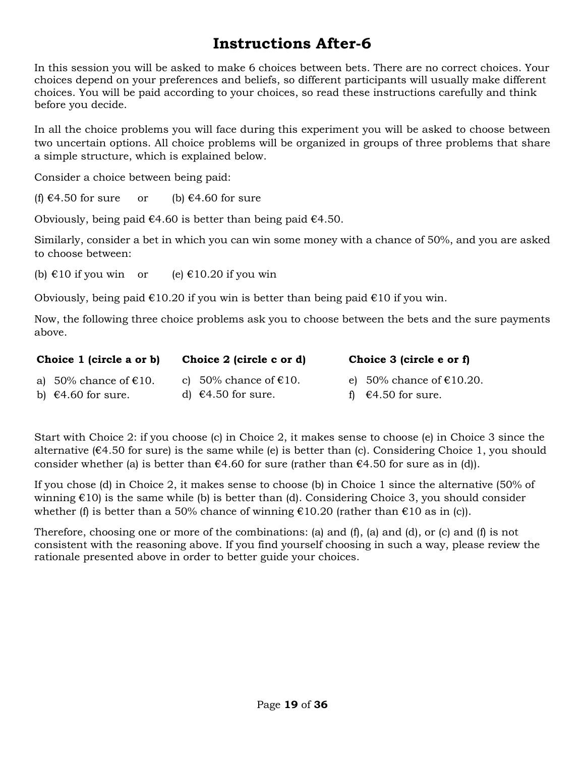# **Instructions After-6**

In this session you will be asked to make 6 choices between bets. There are no correct choices. Your choices depend on your preferences and beliefs, so different participants will usually make different choices. You will be paid according to your choices, so read these instructions carefully and think before you decide.

In all the choice problems you will face during this experiment you will be asked to choose between two uncertain options. All choice problems will be organized in groups of three problems that share a simple structure, which is explained below.

Consider a choice between being paid:

(f)  $\epsilon$ 4.50 for sure or (b)  $\epsilon$ 4.60 for sure

Obviously, being paid  $\epsilon$ 4.60 is better than being paid  $\epsilon$ 4.50.

Similarly, consider a bet in which you can win some money with a chance of 50%, and you are asked to choose between:

(b)  $\text{\textsterling}10$  if you win or (e)  $\text{\textsterling}10.20$  if you win

Obviously, being paid  $\epsilon$ 10.20 if you win is better than being paid  $\epsilon$ 10 if you win.

Now, the following three choice problems ask you to choose between the bets and the sure payments above.

| Choice 1 (circle a or b)        | Choice 2 (circle c or d)        | Choice 3 (circle e or f)     |
|---------------------------------|---------------------------------|------------------------------|
| a) 50% chance of $\epsilon$ 10. | c) 50% chance of $\epsilon$ 10. | e) 50% chance of $£10.20$ .  |
| b) $\epsilon$ 4.60 for sure.    | d) $\epsilon$ 4.50 for sure.    | f) $\epsilon$ 4.50 for sure. |

Start with Choice 2: if you choose (c) in Choice 2, it makes sense to choose (e) in Choice 3 since the alternative ( $\epsilon$ 4.50 for sure) is the same while (e) is better than (c). Considering Choice 1, you should consider whether (a) is better than  $\epsilon$ 4.60 for sure (rather than  $\epsilon$ 4.50 for sure as in (d)).

If you chose (d) in Choice 2, it makes sense to choose (b) in Choice 1 since the alternative (50% of winning  $\epsilon$ 10) is the same while (b) is better than (d). Considering Choice 3, you should consider whether (f) is better than a 50% chance of winning  $\epsilon$ 10.20 (rather than  $\epsilon$ 10 as in (c)).

Therefore, choosing one or more of the combinations: (a) and (f), (a) and (d), or (c) and (f) is not consistent with the reasoning above. If you find yourself choosing in such a way, please review the rationale presented above in order to better guide your choices.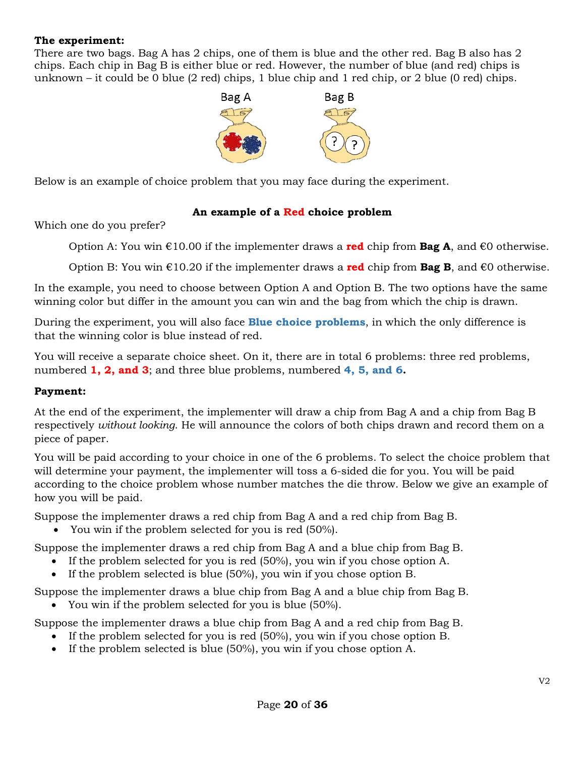#### **The experiment:**

There are two bags. Bag A has 2 chips, one of them is blue and the other red. Bag B also has 2 chips. Each chip in Bag B is either blue or red. However, the number of blue (and red) chips is unknown – it could be 0 blue (2 red) chips, 1 blue chip and 1 red chip, or 2 blue (0 red) chips.



Below is an example of choice problem that you may face during the experiment.

#### **An example of a Red choice problem**

Which one do you prefer?

Option A: You win €10.00 if the implementer draws a **red** chip from **Bag A**, and €0 otherwise.

Option B: You win €10.20 if the implementer draws a **red** chip from **Bag B**, and €0 otherwise.

In the example, you need to choose between Option A and Option B. The two options have the same winning color but differ in the amount you can win and the bag from which the chip is drawn.

During the experiment, you will also face **Blue choice problems**, in which the only difference is that the winning color is blue instead of red.

You will receive a separate choice sheet. On it, there are in total 6 problems: three red problems, numbered **1, 2, and 3**; and three blue problems, numbered **4, 5, and 6.**

#### **Payment:**

At the end of the experiment, the implementer will draw a chip from Bag A and a chip from Bag B respectively *without looking*. He will announce the colors of both chips drawn and record them on a piece of paper.

You will be paid according to your choice in one of the 6 problems. To select the choice problem that will determine your payment, the implementer will toss a 6-sided die for you. You will be paid according to the choice problem whose number matches the die throw. Below we give an example of how you will be paid.

Suppose the implementer draws a red chip from Bag A and a red chip from Bag B.

• You win if the problem selected for you is red (50%).

Suppose the implementer draws a red chip from Bag A and a blue chip from Bag B.

- If the problem selected for you is red (50%), you win if you chose option A.
- If the problem selected is blue (50%), you win if you chose option B.

Suppose the implementer draws a blue chip from Bag A and a blue chip from Bag B.

• You win if the problem selected for you is blue (50%).

Suppose the implementer draws a blue chip from Bag A and a red chip from Bag B.

- If the problem selected for you is red (50%), you win if you chose option B.
- If the problem selected is blue (50%), you win if you chose option A.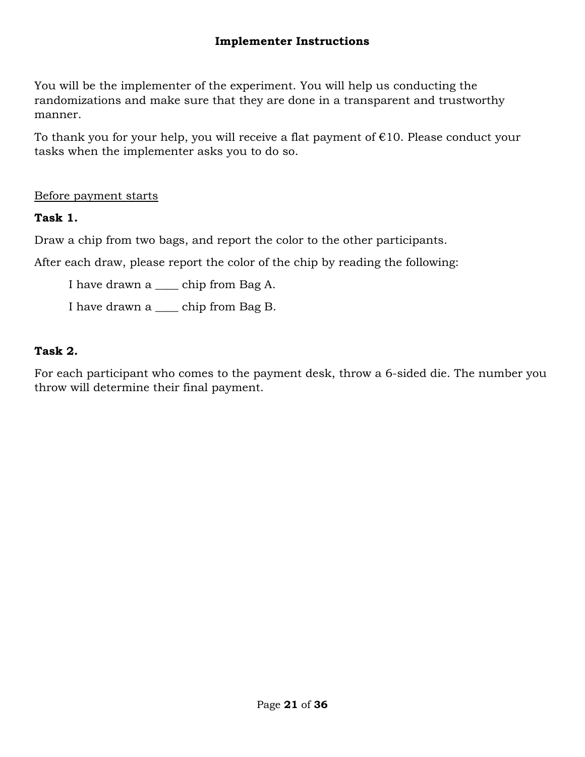## **Implementer Instructions**

You will be the implementer of the experiment. You will help us conducting the randomizations and make sure that they are done in a transparent and trustworthy manner.

To thank you for your help, you will receive a flat payment of  $E10$ . Please conduct your tasks when the implementer asks you to do so.

Before payment starts

**Task 1.**

Draw a chip from two bags, and report the color to the other participants.

After each draw, please report the color of the chip by reading the following:

I have drawn a \_\_\_\_ chip from Bag A.

I have drawn a \_\_\_\_ chip from Bag B.

## **Task 2.**

For each participant who comes to the payment desk, throw a 6-sided die. The number you throw will determine their final payment.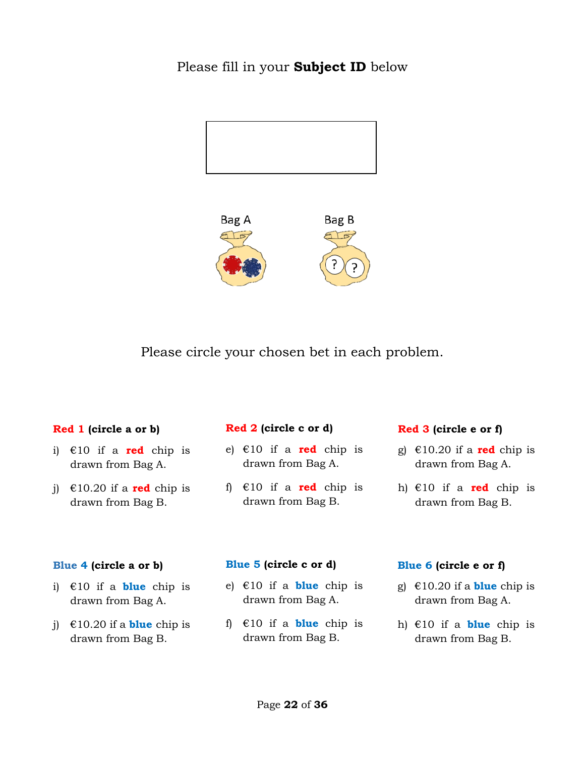## Please fill in your **Subject ID** below





Please circle your chosen bet in each problem.

#### **Red 1 (circle a or b)**

- i) €10 if a **red** chip is drawn from Bag A.
- j)  $\epsilon$ 10.20 if a **red** chip is drawn from Bag B.

#### **Red 2 (circle c or d)**

- e) €10 if a **red** chip is drawn from Bag A.
- f) €10 if a **red** chip is drawn from Bag B.

#### **Red 3 (circle e or f)**

- g)  $\in$ 10.20 if a **red** chip is drawn from Bag A.
- h) €10 if a **red** chip is drawn from Bag B.

#### **Blue 4 (circle a or b)**

- i) €10 if a **blue** chip is drawn from Bag A.
- j)  $\epsilon$ 10.20 if a **blue** chip is drawn from Bag B.

#### **Blue 5 (circle c or d)**

- e) €10 if a **blue** chip is drawn from Bag A.
- f) €10 if a **blue** chip is drawn from Bag B.

#### **Blue 6 (circle e or f)**

- g)  $\epsilon$ 10.20 if a **blue** chip is drawn from Bag A.
- h) €10 if a **blue** chip is drawn from Bag B.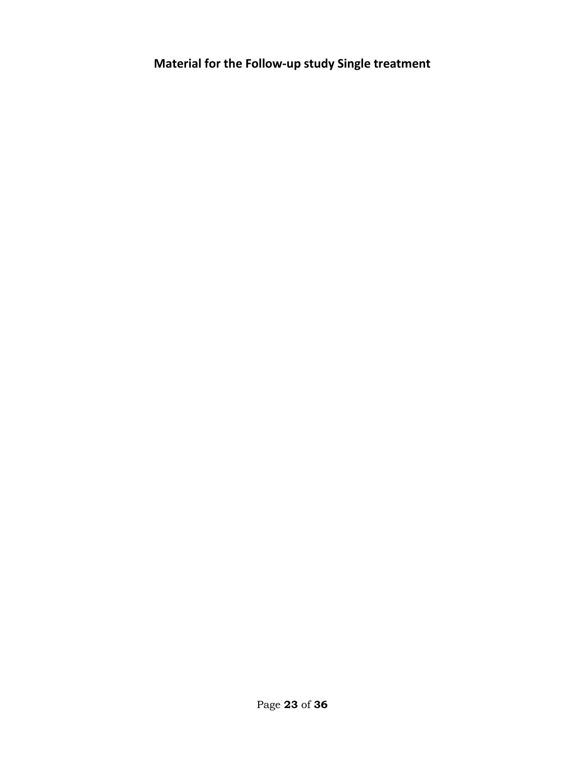**Material for the Follow-up study Single treatment**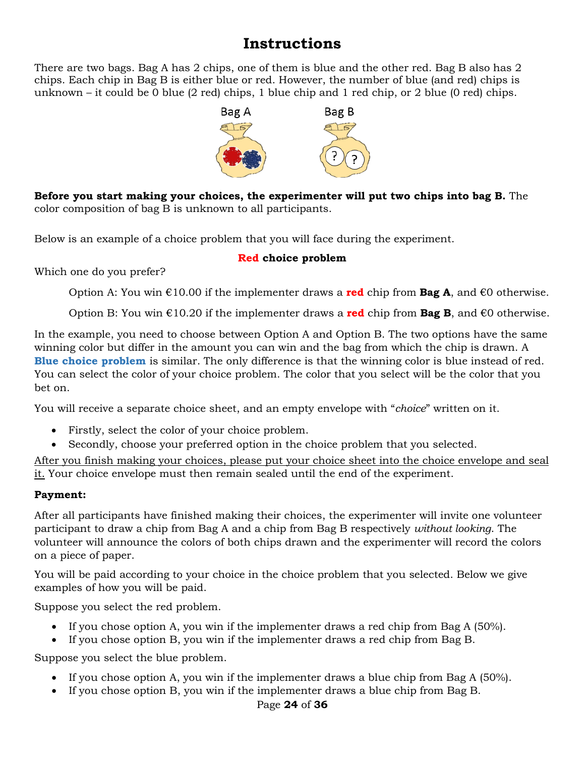# **Instructions**

There are two bags. Bag A has 2 chips, one of them is blue and the other red. Bag B also has 2 chips. Each chip in Bag B is either blue or red. However, the number of blue (and red) chips is unknown – it could be 0 blue (2 red) chips, 1 blue chip and 1 red chip, or 2 blue (0 red) chips.



**Before you start making your choices, the experimenter will put two chips into bag B.** The color composition of bag B is unknown to all participants.

Below is an example of a choice problem that you will face during the experiment.

## **Red choice problem**

Which one do you prefer?

Option A: You win €10.00 if the implementer draws a **red** chip from **Bag A**, and €0 otherwise.

Option B: You win €10.20 if the implementer draws a **red** chip from **Bag B**, and €0 otherwise.

In the example, you need to choose between Option A and Option B. The two options have the same winning color but differ in the amount you can win and the bag from which the chip is drawn. A **Blue choice problem** is similar. The only difference is that the winning color is blue instead of red. You can select the color of your choice problem. The color that you select will be the color that you bet on.

You will receive a separate choice sheet, and an empty envelope with "*choice*" written on it.

- Firstly, select the color of your choice problem.
- Secondly, choose your preferred option in the choice problem that you selected.

After you finish making your choices, please put your choice sheet into the choice envelope and seal it. Your choice envelope must then remain sealed until the end of the experiment.

## **Payment:**

After all participants have finished making their choices, the experimenter will invite one volunteer participant to draw a chip from Bag A and a chip from Bag B respectively *without looking*. The volunteer will announce the colors of both chips drawn and the experimenter will record the colors on a piece of paper.

You will be paid according to your choice in the choice problem that you selected. Below we give examples of how you will be paid.

Suppose you select the red problem.

- If you chose option A, you win if the implementer draws a red chip from Bag A (50%).
- If you chose option B, you win if the implementer draws a red chip from Bag B.

Suppose you select the blue problem.

- If you chose option A, you win if the implementer draws a blue chip from Bag A (50%).
- If you chose option B, you win if the implementer draws a blue chip from Bag B.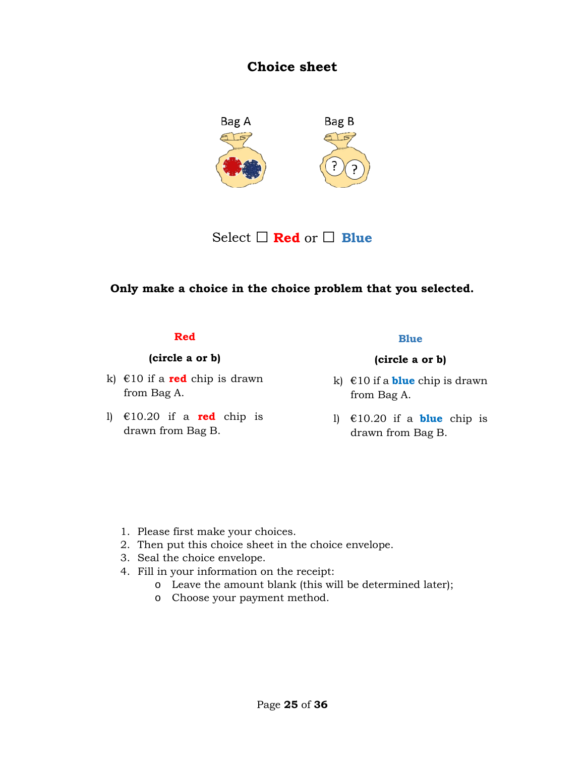## **Choice sheet**



Select □ **Red** or □ **Blue**

## **Only make a choice in the choice problem that you selected.**

#### **Red**

#### **(circle a or b)**

- k)  $\in$ 10 if a **red** chip is drawn from Bag A.
- l) €10.20 if a **red** chip is drawn from Bag B.

#### **Blue**

- k) €10 if a **blue** chip is drawn from Bag A.
- l) €10.20 if a **blue** chip is drawn from Bag B.

- 1. Please first make your choices.
- 2. Then put this choice sheet in the choice envelope.
- 3. Seal the choice envelope.
- 4. Fill in your information on the receipt:
	- o Leave the amount blank (this will be determined later);
	- o Choose your payment method.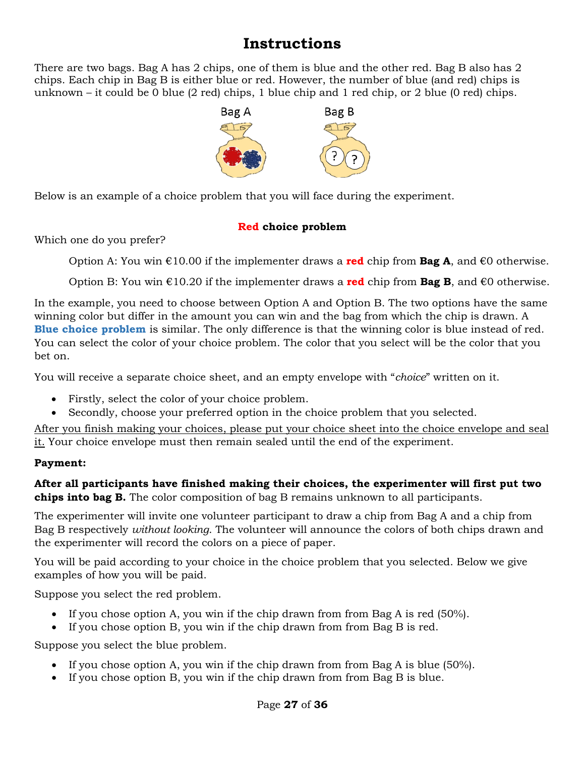# **Instructions**

There are two bags. Bag A has 2 chips, one of them is blue and the other red. Bag B also has 2 chips. Each chip in Bag B is either blue or red. However, the number of blue (and red) chips is unknown – it could be 0 blue (2 red) chips, 1 blue chip and 1 red chip, or 2 blue (0 red) chips.



Below is an example of a choice problem that you will face during the experiment.

## **Red choice problem**

Which one do you prefer?

Option A: You win €10.00 if the implementer draws a **red** chip from **Bag A**, and €0 otherwise.

Option B: You win €10.20 if the implementer draws a **red** chip from **Bag B**, and €0 otherwise.

In the example, you need to choose between Option A and Option B. The two options have the same winning color but differ in the amount you can win and the bag from which the chip is drawn. A **Blue choice problem** is similar. The only difference is that the winning color is blue instead of red. You can select the color of your choice problem. The color that you select will be the color that you bet on.

You will receive a separate choice sheet, and an empty envelope with "*choice*" written on it.

- Firstly, select the color of your choice problem.
- Secondly, choose your preferred option in the choice problem that you selected.

After you finish making your choices, please put your choice sheet into the choice envelope and seal it. Your choice envelope must then remain sealed until the end of the experiment.

## **Payment:**

**After all participants have finished making their choices, the experimenter will first put two chips into bag B.** The color composition of bag B remains unknown to all participants.

The experimenter will invite one volunteer participant to draw a chip from Bag A and a chip from Bag B respectively *without looking*. The volunteer will announce the colors of both chips drawn and the experimenter will record the colors on a piece of paper.

You will be paid according to your choice in the choice problem that you selected. Below we give examples of how you will be paid.

Suppose you select the red problem.

- If you chose option A, you win if the chip drawn from from Bag A is red (50%).
- If you chose option B, you win if the chip drawn from from Bag B is red.

Suppose you select the blue problem.

- If you chose option A, you win if the chip drawn from from Bag A is blue (50%).
- If you chose option B, you win if the chip drawn from from Bag B is blue.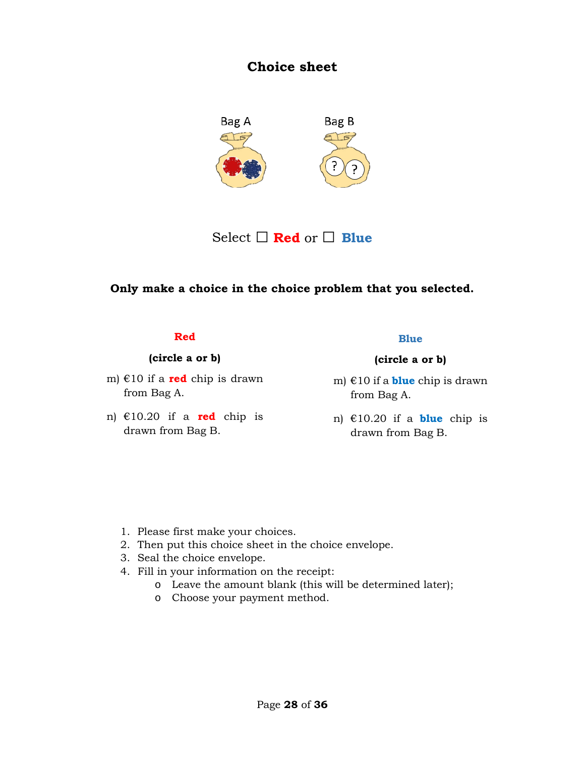## **Choice sheet**



Select □ **Red** or □ **Blue**

## **Only make a choice in the choice problem that you selected.**

#### **Red**

#### **(circle a or b)**

- m) €10 if a **red** chip is drawn from Bag A.
- n) €10.20 if a **red** chip is drawn from Bag B.

#### **Blue**

- m) €10 if a **blue** chip is drawn from Bag A.
- n) €10.20 if a **blue** chip is drawn from Bag B.

- 1. Please first make your choices.
- 2. Then put this choice sheet in the choice envelope.
- 3. Seal the choice envelope.
- 4. Fill in your information on the receipt:
	- o Leave the amount blank (this will be determined later);
	- o Choose your payment method.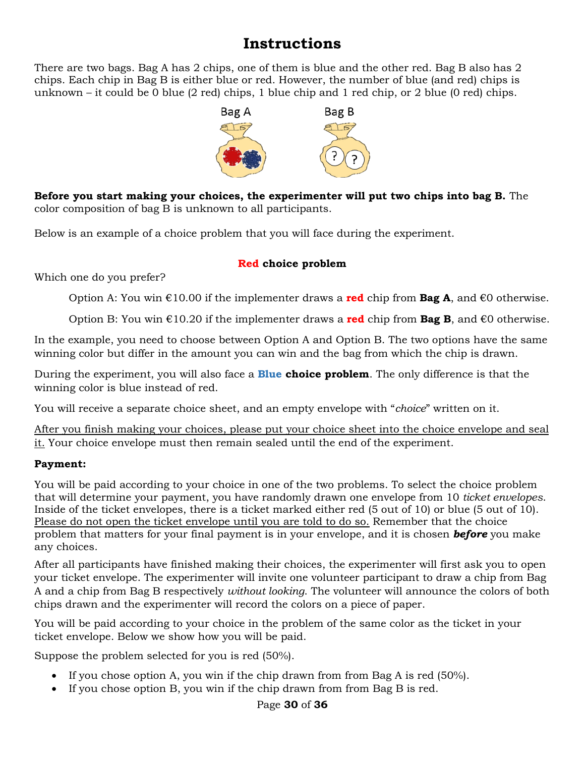# **Instructions**

There are two bags. Bag A has 2 chips, one of them is blue and the other red. Bag B also has 2 chips. Each chip in Bag B is either blue or red. However, the number of blue (and red) chips is unknown – it could be 0 blue (2 red) chips, 1 blue chip and 1 red chip, or 2 blue (0 red) chips.



**Before you start making your choices, the experimenter will put two chips into bag B.** The color composition of bag B is unknown to all participants.

Below is an example of a choice problem that you will face during the experiment.

## **Red choice problem**

Which one do you prefer?

Option A: You win €10.00 if the implementer draws a **red** chip from **Bag A**, and €0 otherwise.

Option B: You win  $\epsilon$ 10.20 if the implementer draws a **red** chip from **Bag B**, and  $\epsilon$ 0 otherwise.

In the example, you need to choose between Option A and Option B. The two options have the same winning color but differ in the amount you can win and the bag from which the chip is drawn.

During the experiment, you will also face a **Blue choice problem**. The only difference is that the winning color is blue instead of red.

You will receive a separate choice sheet, and an empty envelope with "*choice*" written on it.

After you finish making your choices, please put your choice sheet into the choice envelope and seal it. Your choice envelope must then remain sealed until the end of the experiment.

## **Payment:**

You will be paid according to your choice in one of the two problems. To select the choice problem that will determine your payment, you have randomly drawn one envelope from 10 *ticket envelopes*. Inside of the ticket envelopes, there is a ticket marked either red (5 out of 10) or blue (5 out of 10). Please do not open the ticket envelope until you are told to do so. Remember that the choice problem that matters for your final payment is in your envelope, and it is chosen *before* you make any choices.

After all participants have finished making their choices, the experimenter will first ask you to open your ticket envelope. The experimenter will invite one volunteer participant to draw a chip from Bag A and a chip from Bag B respectively *without looking*. The volunteer will announce the colors of both chips drawn and the experimenter will record the colors on a piece of paper.

You will be paid according to your choice in the problem of the same color as the ticket in your ticket envelope. Below we show how you will be paid.

Suppose the problem selected for you is red (50%).

- If you chose option A, you win if the chip drawn from from Bag A is red (50%).
- If you chose option B, you win if the chip drawn from from Bag B is red.

## Page **30** of **36**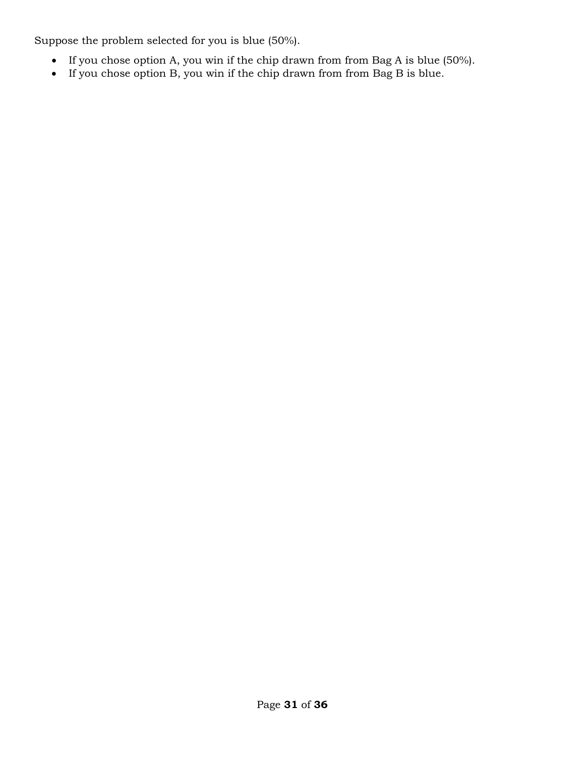Suppose the problem selected for you is blue (50%).

- If you chose option A, you win if the chip drawn from from Bag A is blue (50%).
- If you chose option B, you win if the chip drawn from from Bag B is blue.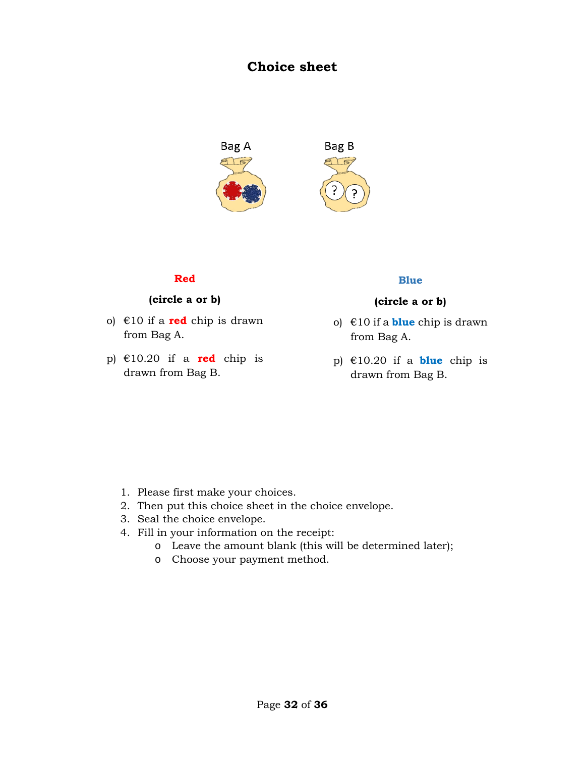## **Choice sheet**



#### **Red**

#### **(circle a or b)**

- o) €10 if a **red** chip is drawn from Bag A.
- p)  $\epsilon$ 10.20 if a **red** chip is drawn from Bag B.

#### **Blue**

- o) €10 if a **blue** chip is drawn from Bag A.
- p) €10.20 if a **blue** chip is drawn from Bag B.

- 1. Please first make your choices.
- 2. Then put this choice sheet in the choice envelope.
- 3. Seal the choice envelope.
- 4. Fill in your information on the receipt:
	- o Leave the amount blank (this will be determined later);
	- o Choose your payment method.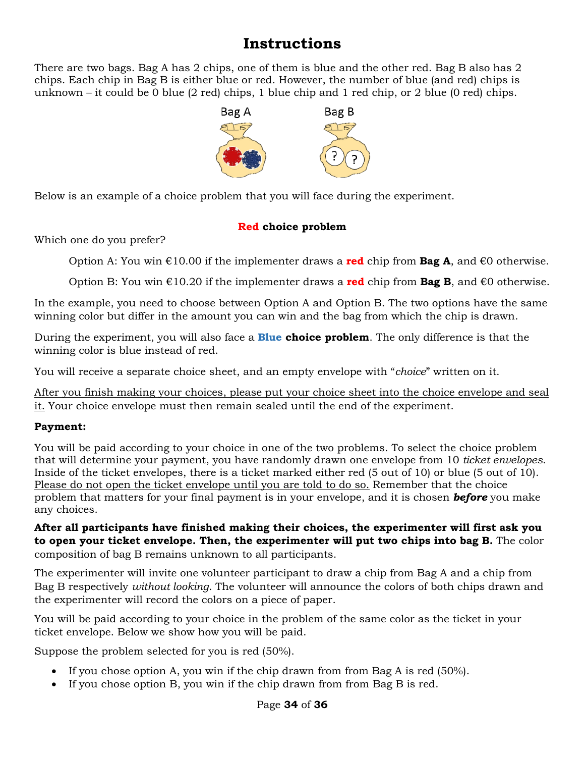# **Instructions**

There are two bags. Bag A has 2 chips, one of them is blue and the other red. Bag B also has 2 chips. Each chip in Bag B is either blue or red. However, the number of blue (and red) chips is unknown – it could be 0 blue (2 red) chips, 1 blue chip and 1 red chip, or 2 blue (0 red) chips.



Below is an example of a choice problem that you will face during the experiment.

## **Red choice problem**

Which one do you prefer?

Option A: You win €10.00 if the implementer draws a **red** chip from **Bag A**, and €0 otherwise.

Option B: You win €10.20 if the implementer draws a **red** chip from **Bag B**, and €0 otherwise.

In the example, you need to choose between Option A and Option B. The two options have the same winning color but differ in the amount you can win and the bag from which the chip is drawn.

During the experiment, you will also face a **Blue choice problem**. The only difference is that the winning color is blue instead of red.

You will receive a separate choice sheet, and an empty envelope with "*choice*" written on it.

After you finish making your choices, please put your choice sheet into the choice envelope and seal it. Your choice envelope must then remain sealed until the end of the experiment.

## **Payment:**

You will be paid according to your choice in one of the two problems. To select the choice problem that will determine your payment, you have randomly drawn one envelope from 10 *ticket envelopes*. Inside of the ticket envelopes, there is a ticket marked either red (5 out of 10) or blue (5 out of 10). Please do not open the ticket envelope until you are told to do so. Remember that the choice problem that matters for your final payment is in your envelope, and it is chosen *before* you make any choices.

**After all participants have finished making their choices, the experimenter will first ask you to open your ticket envelope. Then, the experimenter will put two chips into bag B.** The color composition of bag B remains unknown to all participants.

The experimenter will invite one volunteer participant to draw a chip from Bag A and a chip from Bag B respectively *without looking*. The volunteer will announce the colors of both chips drawn and the experimenter will record the colors on a piece of paper.

You will be paid according to your choice in the problem of the same color as the ticket in your ticket envelope. Below we show how you will be paid.

Suppose the problem selected for you is red (50%).

- If you chose option A, you win if the chip drawn from from Bag A is red (50%).
- If you chose option B, you win if the chip drawn from from Bag B is red.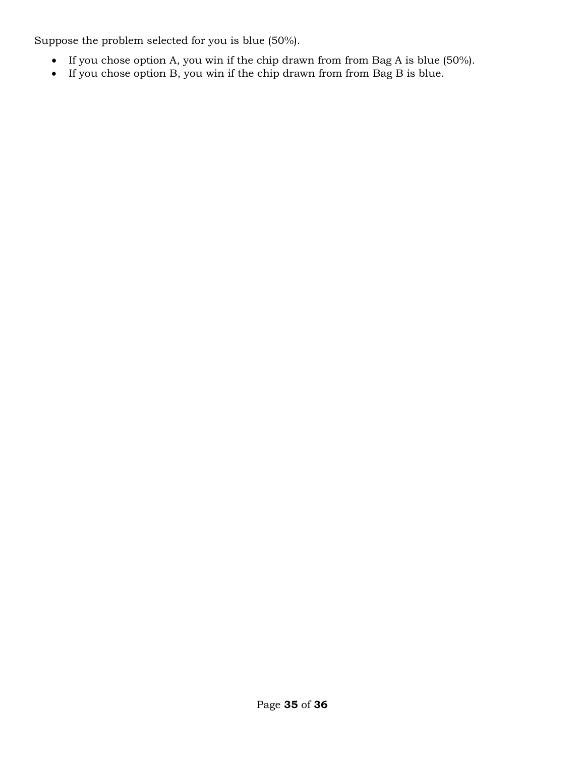Suppose the problem selected for you is blue (50%).

- If you chose option A, you win if the chip drawn from from Bag A is blue (50%).
- If you chose option B, you win if the chip drawn from from Bag B is blue.